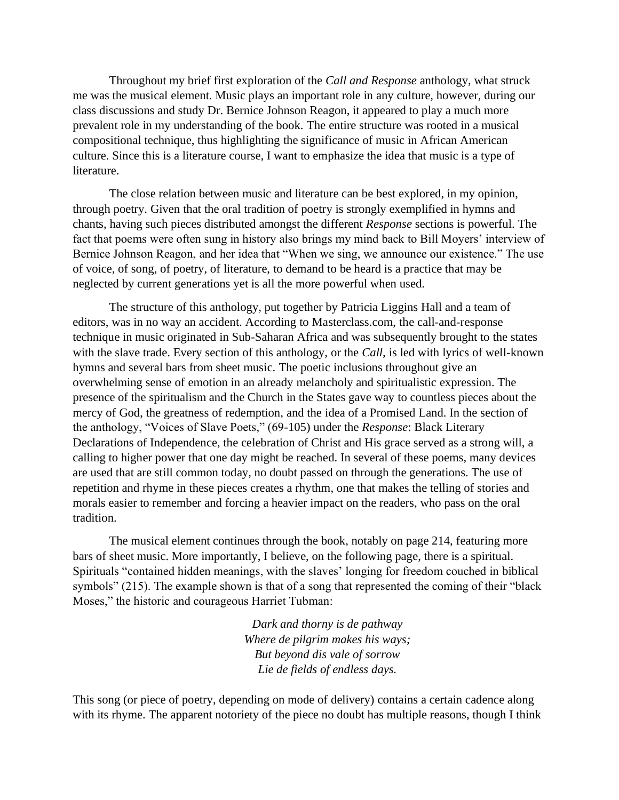Throughout my brief first exploration of the *Call and Response* anthology, what struck me was the musical element. Music plays an important role in any culture, however, during our class discussions and study Dr. Bernice Johnson Reagon, it appeared to play a much more prevalent role in my understanding of the book. The entire structure was rooted in a musical compositional technique, thus highlighting the significance of music in African American culture. Since this is a literature course, I want to emphasize the idea that music is a type of literature.

The close relation between music and literature can be best explored, in my opinion, through poetry. Given that the oral tradition of poetry is strongly exemplified in hymns and chants, having such pieces distributed amongst the different *Response* sections is powerful. The fact that poems were often sung in history also brings my mind back to Bill Moyers' interview of Bernice Johnson Reagon, and her idea that "When we sing, we announce our existence." The use of voice, of song, of poetry, of literature, to demand to be heard is a practice that may be neglected by current generations yet is all the more powerful when used.

The structure of this anthology, put together by Patricia Liggins Hall and a team of editors, was in no way an accident. According to Masterclass.com, the call-and-response technique in music originated in Sub-Saharan Africa and was subsequently brought to the states with the slave trade. Every section of this anthology, or the *Call,* is led with lyrics of well-known hymns and several bars from sheet music. The poetic inclusions throughout give an overwhelming sense of emotion in an already melancholy and spiritualistic expression. The presence of the spiritualism and the Church in the States gave way to countless pieces about the mercy of God, the greatness of redemption, and the idea of a Promised Land. In the section of the anthology, "Voices of Slave Poets," (69-105) under the *Response*: Black Literary Declarations of Independence, the celebration of Christ and His grace served as a strong will, a calling to higher power that one day might be reached. In several of these poems, many devices are used that are still common today, no doubt passed on through the generations. The use of repetition and rhyme in these pieces creates a rhythm, one that makes the telling of stories and morals easier to remember and forcing a heavier impact on the readers, who pass on the oral tradition.

The musical element continues through the book, notably on page 214, featuring more bars of sheet music. More importantly, I believe, on the following page, there is a spiritual. Spirituals "contained hidden meanings, with the slaves' longing for freedom couched in biblical symbols" (215). The example shown is that of a song that represented the coming of their "black Moses," the historic and courageous Harriet Tubman:

> *Dark and thorny is de pathway Where de pilgrim makes his ways; But beyond dis vale of sorrow Lie de fields of endless days.*

This song (or piece of poetry, depending on mode of delivery) contains a certain cadence along with its rhyme. The apparent notoriety of the piece no doubt has multiple reasons, though I think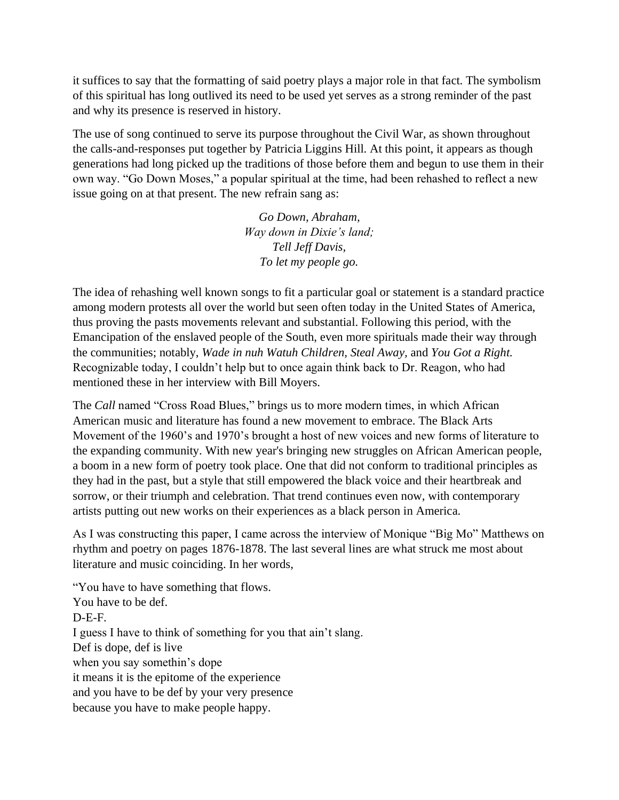it suffices to say that the formatting of said poetry plays a major role in that fact. The symbolism of this spiritual has long outlived its need to be used yet serves as a strong reminder of the past and why its presence is reserved in history.

The use of song continued to serve its purpose throughout the Civil War, as shown throughout the calls-and-responses put together by Patricia Liggins Hill. At this point, it appears as though generations had long picked up the traditions of those before them and begun to use them in their own way. "Go Down Moses," a popular spiritual at the time, had been rehashed to reflect a new issue going on at that present. The new refrain sang as:

> *Go Down, Abraham, Way down in Dixie's land; Tell Jeff Davis, To let my people go.*

The idea of rehashing well known songs to fit a particular goal or statement is a standard practice among modern protests all over the world but seen often today in the United States of America, thus proving the pasts movements relevant and substantial. Following this period, with the Emancipation of the enslaved people of the South, even more spirituals made their way through the communities; notably, *Wade in nuh Watuh Children, Steal Away,* and *You Got a Right.*  Recognizable today, I couldn't help but to once again think back to Dr. Reagon, who had mentioned these in her interview with Bill Moyers.

The *Call* named "Cross Road Blues," brings us to more modern times, in which African American music and literature has found a new movement to embrace. The Black Arts Movement of the 1960's and 1970's brought a host of new voices and new forms of literature to the expanding community. With new year's bringing new struggles on African American people, a boom in a new form of poetry took place. One that did not conform to traditional principles as they had in the past, but a style that still empowered the black voice and their heartbreak and sorrow, or their triumph and celebration. That trend continues even now, with contemporary artists putting out new works on their experiences as a black person in America.

As I was constructing this paper, I came across the interview of Monique "Big Mo" Matthews on rhythm and poetry on pages 1876-1878. The last several lines are what struck me most about literature and music coinciding. In her words,

"You have to have something that flows. You have to be def. D-E-F. I guess I have to think of something for you that ain't slang. Def is dope, def is live when you say somethin's dope it means it is the epitome of the experience and you have to be def by your very presence because you have to make people happy.